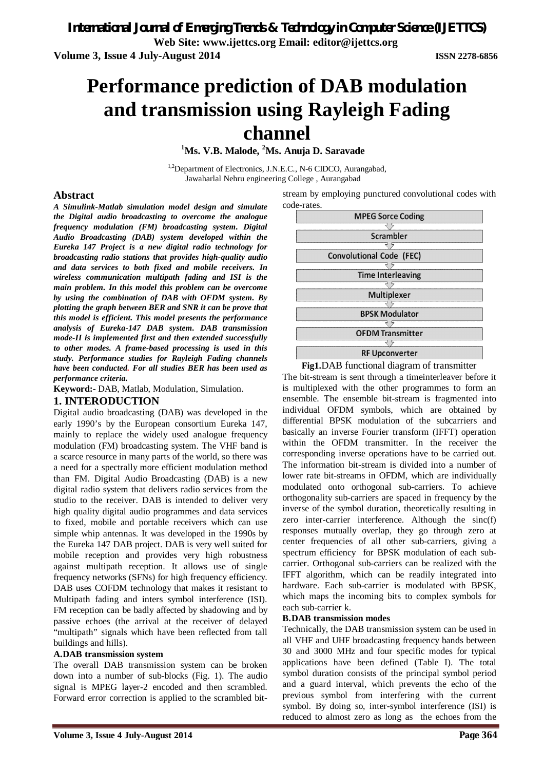**Volume 3, Issue 4 July-August 2014 ISSN 2278-6856**

# **Performance prediction of DAB modulation and transmission using Rayleigh Fading channel**

**<sup>1</sup>Ms. V.B. Malode, <sup>2</sup>Ms. Anuja D. Saravade**

<sup>1,2</sup>Department of Electronics, J.N.E.C., N-6 CIDCO, Aurangabad, Jawaharlal Nehru engineering College , Aurangabad

## **Abstract**

*A Simulink-Matlab simulation model design and simulate the Digital audio broadcasting to overcome the analogue frequency modulation (FM) broadcasting system. Digital Audio Broadcasting (DAB) system developed within the Eureka 147 Project is a new digital radio technology for broadcasting radio stations that provides high-quality audio and data services to both fixed and mobile receivers. In wireless communication multipath fading and ISI is the main problem. In this model this problem can be overcome by using the combination of DAB with OFDM system. By plotting the graph between BER and SNR it can be prove that this model is efficient. This model presents the performance analysis of Eureka-147 DAB system. DAB transmission mode-II is implemented first and then extended successfully to other modes. A frame-based processing is used in this study. Performance studies for Rayleigh Fading channels have been conducted. For all studies BER has been used as performance criteria.* 

**Keyword:-** DAB, Matlab, Modulation, Simulation.

## **1. INTERODUCTION**

Digital audio broadcasting (DAB) was developed in the early 1990's by the European consortium Eureka 147, mainly to replace the widely used analogue frequency modulation (FM) broadcasting system. The VHF band is a scarce resource in many parts of the world, so there was a need for a spectrally more efficient modulation method than FM. Digital Audio Broadcasting (DAB) is a new digital radio system that delivers radio services from the studio to the receiver. DAB is intended to deliver very high quality digital audio programmes and data services to fixed, mobile and portable receivers which can use simple whip antennas. It was developed in the 1990s by the Eureka 147 DAB project. DAB is very well suited for mobile reception and provides very high robustness against multipath reception. It allows use of single frequency networks (SFNs) for high frequency efficiency. DAB uses COFDM technology that makes it resistant to Multipath fading and inters symbol interference (ISI). FM reception can be badly affected by shadowing and by passive echoes (the arrival at the receiver of delayed "multipath" signals which have been reflected from tall buildings and hills).

## **A.DAB transmission system**

The overall DAB transmission system can be broken down into a number of sub-blocks (Fig. 1). The audio signal is MPEG layer-2 encoded and then scrambled. Forward error correction is applied to the scrambled bitstream by employing punctured convolutional codes with code-rates.



 **Fig1.**DAB functional diagram of transmitter

The bit-stream is sent through a timeinterleaver before it is multiplexed with the other programmes to form an ensemble. The ensemble bit-stream is fragmented into individual OFDM symbols, which are obtained by differential BPSK modulation of the subcarriers and basically an inverse Fourier transform (IFFT) operation within the OFDM transmitter. In the receiver the corresponding inverse operations have to be carried out. The information bit-stream is divided into a number of lower rate bit-streams in OFDM, which are individually modulated onto orthogonal sub-carriers. To achieve orthogonality sub-carriers are spaced in frequency by the inverse of the symbol duration, theoretically resulting in zero inter-carrier interference. Although the sinc(f) responses mutually overlap, they go through zero at center frequencies of all other sub-carriers, giving a spectrum efficiency for BPSK modulation of each subcarrier. Orthogonal sub-carriers can be realized with the IFFT algorithm, which can be readily integrated into hardware. Each sub-carrier is modulated with BPSK, which maps the incoming bits to complex symbols for each sub-carrier k.

#### **B.DAB transmission modes**

Technically, the DAB transmission system can be used in all VHF and UHF broadcasting frequency bands between 30 and 3000 MHz and four specific modes for typical applications have been defined (Table I). The total symbol duration consists of the principal symbol period and a guard interval, which prevents the echo of the previous symbol from interfering with the current symbol. By doing so, inter-symbol interference (ISI) is reduced to almost zero as long as the echoes from the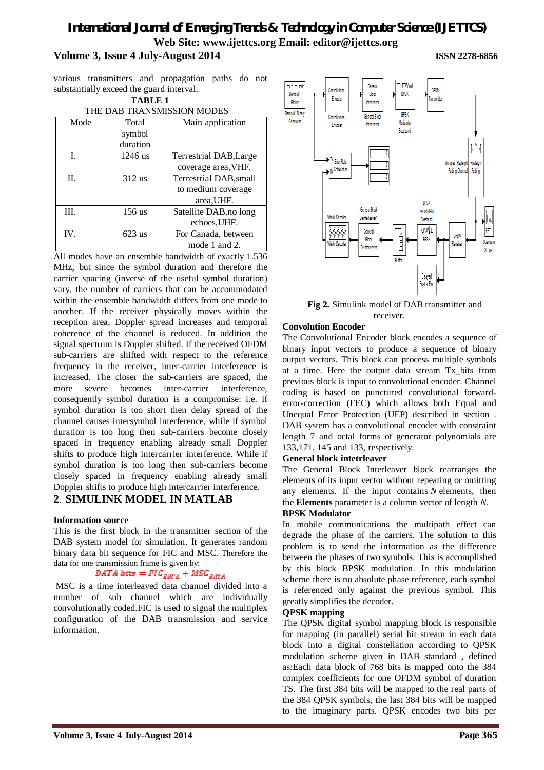# *International Journal of Emerging Trends & Technology in Computer Science (IJETTCS)* **Web Site: www.ijettcs.org Email: editor@ijettcs.org Volume 3, Issue 4 July-August 2014 ISSN 2278-6856**

various transmitters and propagation paths do not substantially exceed the guard interval.

# **TABLE 1**

| THE DAB TRANSMISSION MODES |           |                        |
|----------------------------|-----------|------------------------|
| Mode                       | Total     | Main application       |
|                            | symbol    |                        |
|                            | duration  |                        |
| L                          | $1246$ us | Terrestrial DAB, Large |
|                            |           | coverage area, VHF.    |
| $\Pi$ .                    | $312$ us  | Terrestrial DAB, small |
|                            |           | to medium coverage     |
|                            |           | area, UHF.             |
| III.                       | $156$ us  | Satellite DAB, no long |
|                            |           | echoes, UHF.           |
| $IV_{\cdot}$               | $623$ us  | For Canada, between    |
|                            |           | mode 1 and 2.          |

All modes have an ensemble bandwidth of exactly 1.536 MHz, but since the symbol duration and therefore the carrier spacing (inverse of the useful symbol duration) vary, the number of carriers that can be accommodated within the ensemble bandwidth differs from one mode to another. If the receiver physically moves within the reception area, Doppler spread increases and temporal coherence of the channel is reduced. In addition the signal spectrum is Doppler shifted. If the received OFDM sub-carriers are shifted with respect to the reference frequency in the receiver, inter-carrier interference is increased. The closer the sub-carriers are spaced, the more severe becomes inter-carrier interference, consequently symbol duration is a compromise: i.e. if symbol duration is too short then delay spread of the channel causes intersymbol interference, while if symbol duration is too long then sub-carriers become closely spaced in frequency enabling already small Doppler shifts to produce high intercarrier interference. While if symbol duration is too long then sub-carriers become closely spaced in frequency enabling already small Doppler shifts to produce high intercarrier interference.

## **2**. **SIMULINK MODEL IN MATLAB**

#### **Information source**

This is the first block in the transmitter section of the DAB system model for simulation. It generates random binary data bit sequence for FIC and MSC. Therefore the data for one transmission frame is given by:

## DATA bits =  $FIC_{DATA} + MSC_{DATA}$

MSC is a time interleaved data channel divided into a number of sub channel which are individually convolutionally coded.FIC is used to signal the multiplex configuration of the DAB transmission and service information.



 **Fig 2.** Simulink model of DAB transmitter and receiver.

#### **Convolution Encoder**

The Convolutional Encoder block encodes a sequence of binary input vectors to produce a sequence of binary output vectors. This block can process multiple symbols at a time. Here the output data stream Tx\_bits from previous block is input to convolutional encoder. Channel coding is based on punctured convolutional forwarderror-correction (FEC) which allows both Equal and Unequal Error Protection (UEP) described in section . DAB system has a convolutional encoder with constraint length 7 and octal forms of generator polynomials are 133,171, 145 and 133, respectively.

#### **General block intetrleaver**

The General Block Interleaver block rearranges the elements of its input vector without repeating or omitting any elements. If the input contains *N* elements, then the **Elements** parameter is a column vector of length *N*.

#### **BPSK Modulator**

In mobile communications the multipath effect can degrade the phase of the carriers. The solution to this problem is to send the information as the difference between the phases of two symbols. This is accomplished by this block BPSK modulation. In this modulation scheme there is no absolute phase reference, each symbol is referenced only against the previous symbol. This greatly simplifies the decoder.

#### **QPSK mapping**

The QPSK digital symbol mapping block is responsible for mapping (in parallel) serial bit stream in each data block into a digital constellation according to QPSK modulation scheme given in DAB standard , defined as:Each data block of 768 bits is mapped onto the 384 complex coefficients for one OFDM symbol of duration TS. The first 384 bits will be mapped to the real parts of the 384 QPSK symbols, the last 384 bits will be mapped to the imaginary parts. QPSK encodes two bits per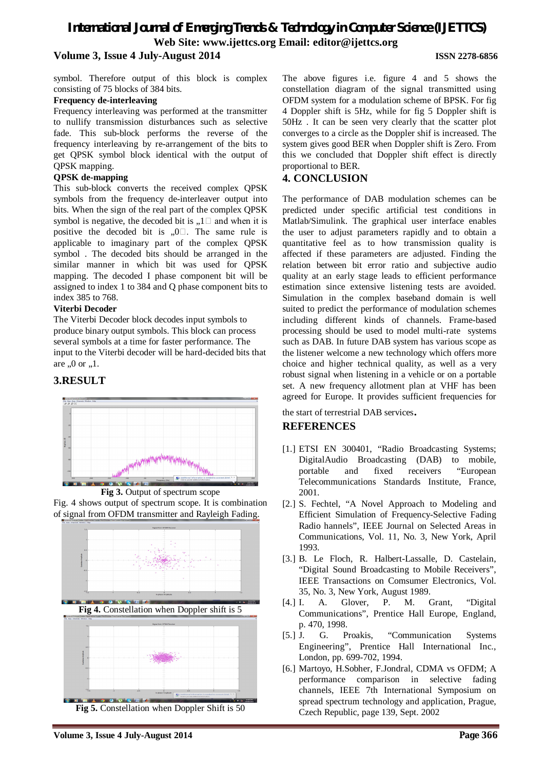# *International Journal of Emerging Trends & Technology in Computer Science (IJETTCS)* **Web Site: www.ijettcs.org Email: editor@ijettcs.org Volume 3, Issue 4 July-August 2014 ISSN 2278-6856**

symbol. Therefore output of this block is complex consisting of 75 blocks of 384 bits.

#### **Frequency de-interleaving**

Frequency interleaving was performed at the transmitter to nullify transmission disturbances such as selective fade. This sub-block performs the reverse of the frequency interleaving by re-arrangement of the bits to get QPSK symbol block identical with the output of QPSK mapping.

## **QPSK de-mapping**

This sub-block converts the received complex QPSK symbols from the frequency de-interleaver output into bits. When the sign of the real part of the complex QPSK symbol is negative, the decoded bit is  $, 1 \square$  and when it is positive the decoded bit is  $, 0$ . The same rule is applicable to imaginary part of the complex QPSK symbol . The decoded bits should be arranged in the similar manner in which bit was used for QPSK mapping. The decoded I phase component bit will be assigned to index 1 to 384 and Q phase component bits to index 385 to 768.

## **Viterbi Decoder**

The Viterbi Decoder block decodes input symbols to produce binary output symbols. This block can process several symbols at a time for faster performance. The input to the Viterbi decoder will be hard-decided bits that are  $, 0$  or  $, 1$ .

# **3.RESULT**







**Fig 5.** Constellation when Doppler Shift is 50

The above figures i.e. figure 4 and 5 shows the constellation diagram of the signal transmitted using OFDM system for a modulation scheme of BPSK. For fig 4 Doppler shift is 5Hz, while for fig 5 Doppler shift is 50Hz . It can be seen very clearly that the scatter plot converges to a circle as the Doppler shif is increased. The system gives good BER when Doppler shift is Zero. From this we concluded that Doppler shift effect is directly proportional to BER.

# **4. CONCLUSION**

The performance of DAB modulation schemes can be predicted under specific artificial test conditions in Matlab/Simulink. The graphical user interface enables the user to adjust parameters rapidly and to obtain a quantitative feel as to how transmission quality is affected if these parameters are adjusted. Finding the relation between bit error ratio and subjective audio quality at an early stage leads to efficient performance estimation since extensive listening tests are avoided. Simulation in the complex baseband domain is well suited to predict the performance of modulation schemes including different kinds of channels. Frame-based processing should be used to model multi-rate systems such as DAB. In future DAB system has various scope as the listener welcome a new technology which offers more choice and higher technical quality, as well as a very robust signal when listening in a vehicle or on a portable set. A new frequency allotment plan at VHF has been agreed for Europe. It provides sufficient frequencies for

the start of terrestrial DAB services.

# **REFERENCES**

- [1.] ETSI EN 300401, "Radio Broadcasting Systems; DigitalAudio Broadcasting (DAB) to mobile, portable and fixed receivers "European Telecommunications Standards Institute, France, 2001.
- [2.] S. Fechtel, "A Novel Approach to Modeling and Efficient Simulation of Frequency-Selective Fading Radio hannels", IEEE Journal on Selected Areas in Communications, Vol. 11, No. 3, New York, April 1993.
- [3.] B. Le Floch, R. Halbert-Lassalle, D. Castelain, "Digital Sound Broadcasting to Mobile Receivers", IEEE Transactions on Comsumer Electronics, Vol. 35, No. 3, New York, August 1989.
- [4.] I. A. Glover, P. M. Grant, "Digital Communications", Prentice Hall Europe, England, p. 470, 1998.
- [5.] J. G. Proakis, "Communication Systems Engineering", Prentice Hall International Inc., London, pp. 699-702, 1994.
- [6.] Martoyo, H.Sobher, F.Jondral, CDMA vs OFDM; A performance comparison in selective fading channels, IEEE 7th International Symposium on spread spectrum technology and application, Prague, Czech Republic, page 139, Sept. 2002